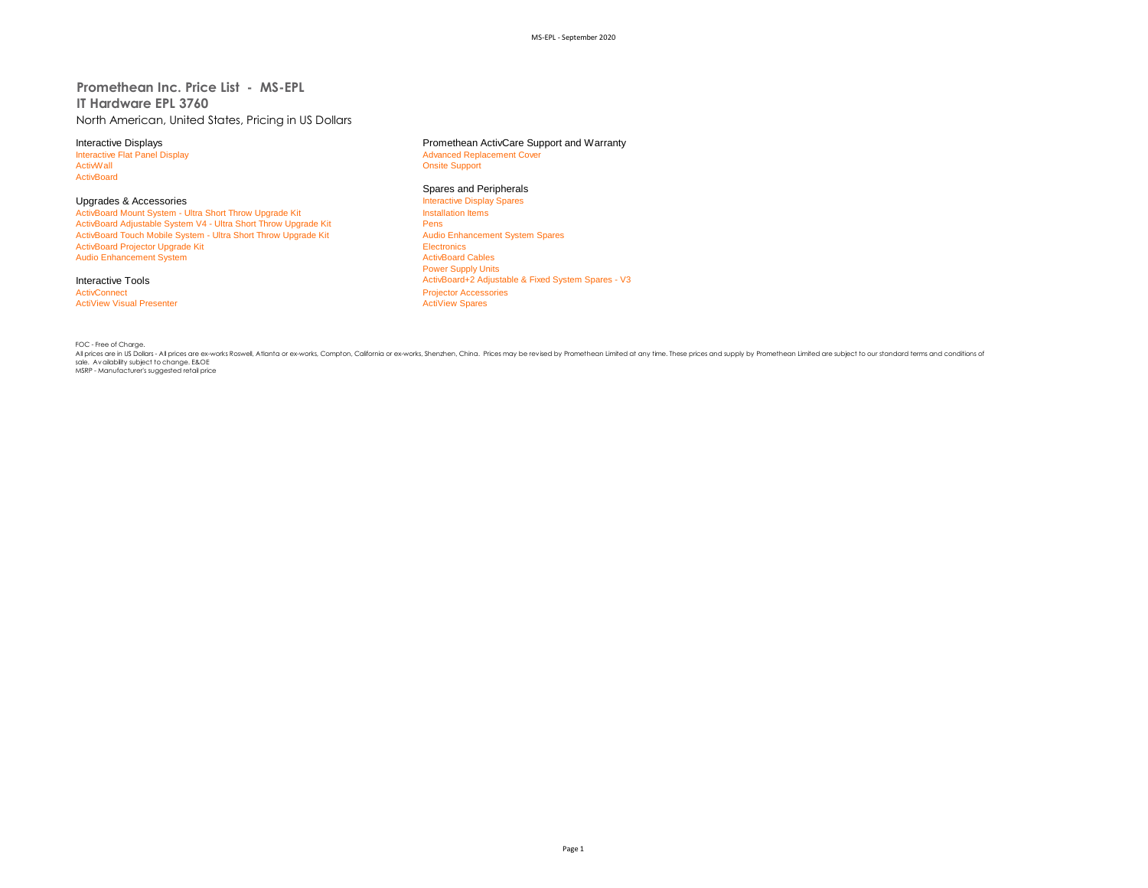## **Promethean Inc. Price List - MS-EPL IT Hardware EPL 3760** North American, United States, Pricing in US Dollars

Interactive Flat Panel Display and The Terminal School and Terminal Advanced Replacement Cover<br>
Advanced Replacement Cover<br>
Advanced Replacement Cover **ActivBoard** 

ActivBoard Mount System - Ultra Short Throw Upgrade Kit ActivBoard Adjustable System V4 - Ultra Short Throw Upgrade Kit **Pens** Pens<br>
Pens Christian Couch Mobile System - Ultra Short Throw Upgrade Kit Pens Audio Enhancement System Spares ActivBoard Touch Mobile System - Ultra Short Throw Upgrade Kit ActivBoard Projector Upgrade Kit Electronics<br>
Audio Enhancement System<br>
ActivBoard Cables Audio Enhancement System

ActivConnect **Accessories**<br>
ActiView Visual Presenter<br>
ActiView Spares **ActiView Visual Presenter** 

# Interactive Displays<br>
Interactive Flat Panel Display<br> **Interactive Flat Panel Display**<br> **Advanced Replacement Cover**

**Onsite Support** 

#### Spares and Peripherals

Upgrades & Accessories<br> **Accessories** Interactive Display Spares<br> **ActivBoard Mount System - Ultra Short Throw Upgrade Kit** Power Supply Units Interactive Tools **ActivBoard+2** Adjustable & Fixed System Spares - V3

FOC - Free of Charge.

All prices are in US Dollars - All prices are ex-works Roswell, Atlanta or ex-works, Compton, California or ex-works, Shenzhen, China. Prices may be revised by Promethean Limited at any time. These prices and supply by Promethean Limited are subject to our standard terms and conditions of sale. Availability subject to change. E&OE MSRP - Manufacturer's suggested retail price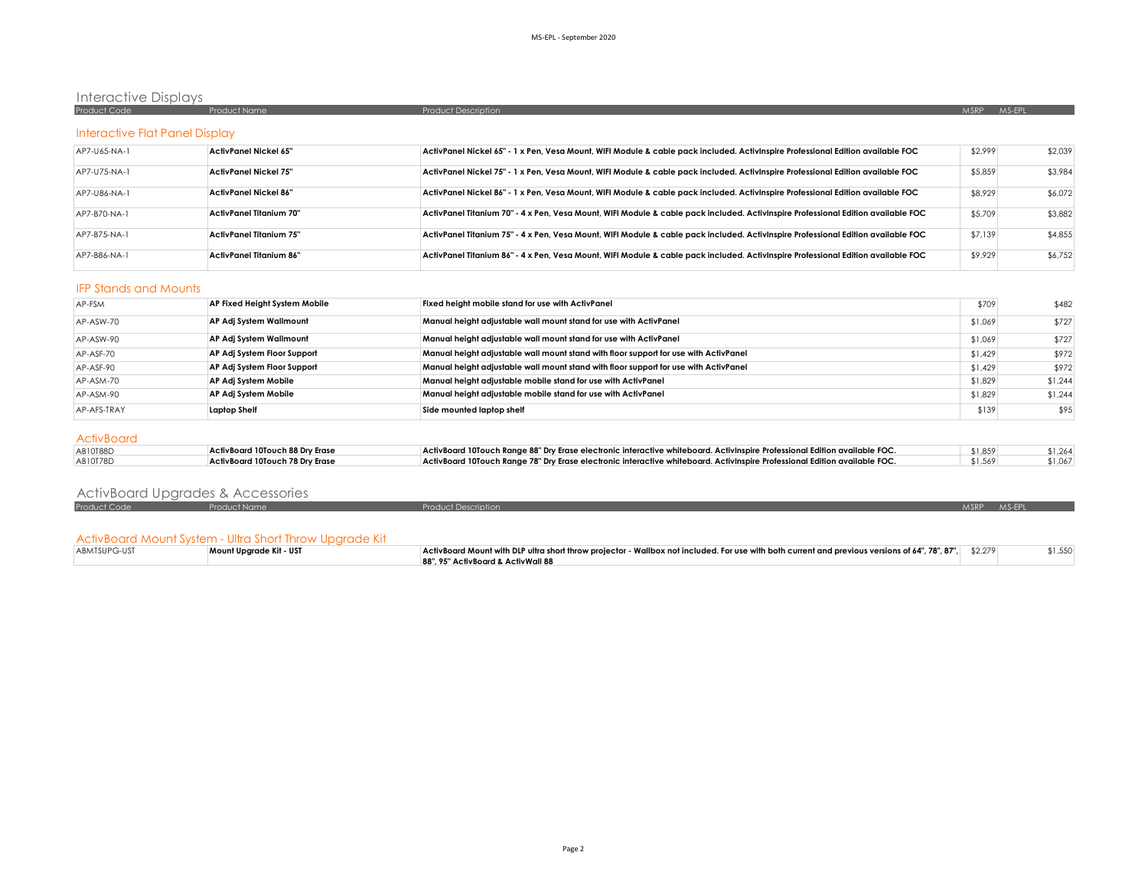## Interactive Displays

| Product Code | <b>Product Name</b> | Product Description | MS-EPL<br><b>MSRP</b> |
|--------------|---------------------|---------------------|-----------------------|
|              |                     |                     |                       |
|              |                     |                     |                       |
|              |                     |                     |                       |

## Interactive Flat Panel Display

| AP7-U65-NA-1 | ActivPanel Nickel 65"   | ActivPanel Nickel 65" - 1 x Pen, Vesa Mount, WIFI Module & cable pack included. ActivInspire Professional Edition available FOC   | \$2,999 | \$2,039 |
|--------------|-------------------------|-----------------------------------------------------------------------------------------------------------------------------------|---------|---------|
| AP7-U75-NA-1 | ActivPanel Nickel 75"   | ActivPanel Nickel 75" - 1 x Pen, Vesa Mount, WIFI Module & cable pack included. ActivInspire Professional Edition available FOC   | \$5,859 | \$3,984 |
| AP7-U86-NA-1 | ActivPanel Nickel 86"   | ActivPanel Nickel 86" - 1 x Pen, Vesa Mount, WIFI Module & cable pack included. ActivInspire Professional Edition available FOC   | \$8,929 | \$6,072 |
| AP7-B70-NA-1 | ActivPanel Titanium 70" | ActivPanel Titanium 70" - 4 x Pen, Vesa Mount, WIFI Module & cable pack included. ActivInspire Professional Edition available FOC | \$5,709 | \$3,882 |
| AP7-B75-NA-1 | ActivPanel Titanium 75" | ActivPanel Titanium 75" - 4 x Pen, Vesa Mount, WIFI Module & cable pack included. ActivInspire Professional Edition available FOC | \$7,139 | \$4,855 |
| AP7-B86-NA-1 | ActivPanel Titanium 86" | ActivPanel Titanium 86" - 4 x Pen, Vesa Mount, WIFI Module & cable pack included. ActivInspire Professional Edition available FOC | \$9,929 | \$6,752 |

#### IFP Stands and Mounts

| AP-FSM      | AP Fixed Height System Mobile | Fixed height mobile stand for use with ActivPanel                                    | \$709   | \$482   |
|-------------|-------------------------------|--------------------------------------------------------------------------------------|---------|---------|
| AP-ASW-70   | AP Adj System Wallmount       | Manual height adjustable wall mount stand for use with ActivPanel                    | \$1,069 | \$727   |
| AP-ASW-90   | AP Adj System Wallmount       | Manual height adjustable wall mount stand for use with ActivPanel                    | \$1,069 | \$727   |
| AP-ASF-70   | AP Adj System Floor Support   | Manual height adjustable wall mount stand with floor support for use with ActivPanel | \$1,429 | \$972   |
| AP-ASF-90   | AP Adj System Floor Support   | Manual height adjustable wall mount stand with floor support for use with ActivPanel | \$1,429 | \$972   |
| AP-ASM-70   | AP Adj System Mobile          | Manual height adjustable mobile stand for use with ActivPanel                        | \$1,829 | \$1.244 |
| AP-ASM-90   | AP Adj System Mobile          | Manual height adjustable mobile stand for use with ActivPanel                        | \$1,829 | \$1,244 |
| AP-AFS-TRAY | Laptop Shelf                  | Side mounted laptop shelf                                                            | \$139   | \$95    |

### **ActivBoard**

| AB10T88D | ActivBoard 10Touch 88 Dry Erase | ActivBoard 10Touch Range 88" Dry Erase electronic interactive whiteboard. ActivInspire Professional Edition available FOC. | \$1,859 | \$1.264 |
|----------|---------------------------------|----------------------------------------------------------------------------------------------------------------------------|---------|---------|
| AB10T78D | ActivBoard 10Touch 78 Drv Erase | ActivBoard 10Touch Range 78" Dry Erase electronic interactive whiteboard. ActivInspire Professional Edition available FOC. | \$1,569 | \$1,067 |

## ActivBoard Upgrades & Accessories

| Product | $k$ Mom | Description | $\mathcal{L}^{\text{max}}_{\text{max}}$ and $\mathcal{L}^{\text{max}}_{\text{max}}$ and $\mathcal{L}^{\text{max}}_{\text{max}}$<br>and the state of the state of the state of the state of the state of the state of the state of the state of th<br><b>AAS ED.</b><br><b>AACDD</b><br><b>ALCOHOL:</b> |
|---------|---------|-------------|--------------------------------------------------------------------------------------------------------------------------------------------------------------------------------------------------------------------------------------------------------------------------------------------------------|
|         |         |             |                                                                                                                                                                                                                                                                                                        |

## ActivBoard Mount System - Ultra Short Throw Upgrade Kit

| ABMTSUPG-UST | Mount Upgrade Kit - UST | ActivBoard Mount with DLP ultra short throw projector - Wallbox not included. For use with both current and previous versions of 64", 78", 87",   \$2,279 | \$1,550 |
|--------------|-------------------------|-----------------------------------------------------------------------------------------------------------------------------------------------------------|---------|
|              |                         | 88", 95" ActivBoard & ActivWall 88                                                                                                                        |         |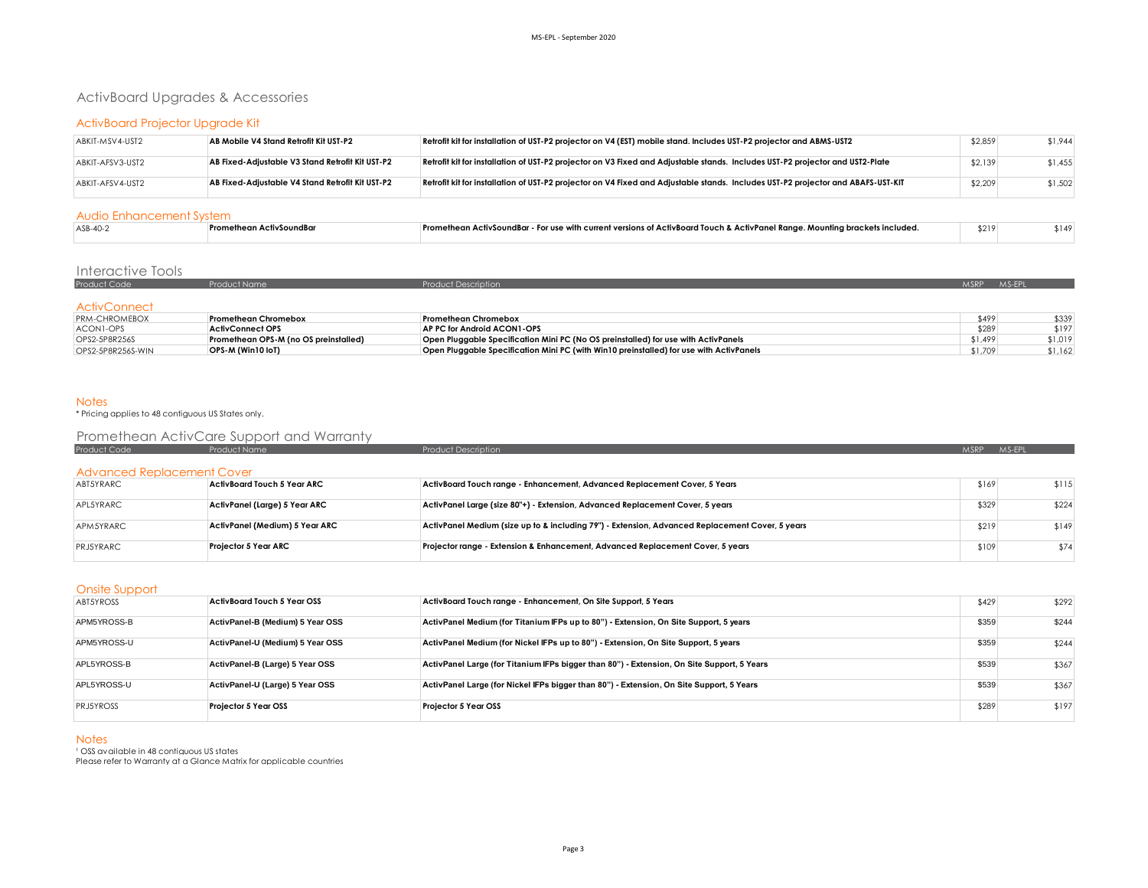## ActivBoard Upgrades & Accessories

### ActivBoard Projector Upgrade Kit

| ABKIT-MSV4-UST2  | AB Mobile V4 Stand Retrofit Kit UST-P2           | Retrofit kit for installation of UST-P2 projector on V4 (EST) mobile stand. Includes UST-P2 projector and ABMS-UST2              | \$2,859 | \$1.944 |
|------------------|--------------------------------------------------|----------------------------------------------------------------------------------------------------------------------------------|---------|---------|
| ABKIT-AFSV3-UST2 | AB Fixed-Adiustable V3 Stand Retrofit Kit UST-P2 | Retrofit kit for installation of UST-P2 projector on V3 Fixed and Adjustable stands. Includes UST-P2 projector and UST2-Plate    | \$2,139 | \$1.455 |
| ABKIT-AFSV4-UST2 | AB Fixed-Adiustable V4 Stand Retrofit Kit UST-P2 | Retrofit kit for installation of UST-P2 projector on V4 Fixed and Adjustable stands. Includes UST-P2 projector and ABAFS-UST-KIT | \$2,209 | \$1,502 |

#### Audio Enhancement System

| $ASB-40-2$ | тіузоипав<br>1 U | $\mu$ - For use with current versions of ActivBoard Touch & ActivPanel Ranae. Mountina $^{\star}$<br>.ckets includer<br>ı brack<br>:tivSoundBar<br>nean . | \$219 | 14٠ |
|------------|------------------|-----------------------------------------------------------------------------------------------------------------------------------------------------------|-------|-----|
|            |                  |                                                                                                                                                           |       |     |

### Interactive Tools

| Product Code        | Product Name | <b>Product Description</b> | <b>MSRP</b> | $MS-FP'$ |
|---------------------|--------------|----------------------------|-------------|----------|
|                     |              |                            |             |          |
| <b>ActivConnect</b> |              |                            |             |          |

| $PRM-CHROMEBOX$   | Promethean Chromebox                  | Promethean Chromebox                                                                    | \$499   | \$339   |
|-------------------|---------------------------------------|-----------------------------------------------------------------------------------------|---------|---------|
| ACONI-OPS         | <b>ActivConnect OPS</b>               | AP PC for Android ACON1-OPS                                                             | \$289   | \$197   |
| OPS2-5P8R256S     | Promethean OPS-M (no OS preinstalled) | Open Pluggable Specification Mini PC (No OS preinstalled) for use with ActivPanels      | \$1,499 | \$1,019 |
| OPS2-5P8R256S-WIN | OPS-M (Win10 loT)                     | Open Pluggable Specification Mini PC (with Win10 preinstalled) for use with ActivPanels | \$1.709 | \$1.162 |

Notes \* Pricing applies to 48 contiguous US States only.

## Promethean ActivCare Support and Warranty

| Product Code                      | Product Name                       | <b>Product Description</b>                                                                      | <b>MSRP</b> | MS-EPL |
|-----------------------------------|------------------------------------|-------------------------------------------------------------------------------------------------|-------------|--------|
|                                   |                                    |                                                                                                 |             |        |
|                                   |                                    |                                                                                                 |             |        |
| <b>Advanced Replacement Cover</b> |                                    |                                                                                                 |             |        |
| ABT5YRARC                         | <b>ActivBoard Touch 5 Year ARC</b> | ActivBoard Touch range - Enhancement, Advanced Replacement Cover, 5 Years                       | \$169       | \$115  |
|                                   |                                    |                                                                                                 |             |        |
| APL5YRARC                         | ActivPanel (Large) 5 Year ARC      | ActivPanel Large (size 80"+) - Extension, Advanced Replacement Cover, 5 years                   | \$329       | \$224  |
|                                   |                                    |                                                                                                 |             |        |
| APM5YRARC                         | ActivPanel (Medium) 5 Year ARC     | ActivPanel Medium (size up to & including 79") - Extension, Advanced Replacement Cover, 5 years | \$219       | \$149  |
|                                   |                                    |                                                                                                 |             |        |
| PRJ5YRARC                         | <b>Projector 5 Year ARC</b>        | Projector range - Extension & Enhancement, Advanced Replacement Cover, 5 years                  | \$109       | \$74   |
|                                   |                                    |                                                                                                 |             |        |

#### Onsite Support

| __. _ _ _ _ _ _ _ |                                    |                                                                                            |       |       |
|-------------------|------------------------------------|--------------------------------------------------------------------------------------------|-------|-------|
| ABT5YROSS         | <b>ActivBoard Touch 5 Year OSS</b> | ActivBoard Touch range - Enhancement, On Site Support, 5 Years                             | \$429 | \$292 |
| APM5YROSS-B       | ActivPanel-B (Medium) 5 Year OSS   | ActivPanel Medium (for Titanium IFPs up to 80") - Extension, On Site Support, 5 years      | \$359 | \$244 |
| APM5YROSS-U       | ActivPanel-U (Medium) 5 Year OSS   | ActivPanel Medium (for Nickel IFPs up to 80") - Extension, On Site Support, 5 years        | \$359 | \$244 |
| APL5YROSS-B       | ActivPanel-B (Large) 5 Year OSS    | ActivPanel Large (for Titanium IFPs bigger than 80") - Extension, On Site Support, 5 Years | \$539 | \$367 |
| APL5YROSS-U       | ActivPanel-U (Large) 5 Year OSS    | ActivPanel Large (for Nickel IFPs bigger than 80") - Extension, On Site Support, 5 Years   | \$539 | \$367 |
| <b>PRJ5YROSS</b>  | Projector 5 Year OSS               | <b>Projector 5 Year OSS</b>                                                                | \$289 | \$197 |

#### **Notes**

<sup>1</sup> OSS available in 48 contiguous US states

Please refer to Warranty at a Glance Matrix for applicable countries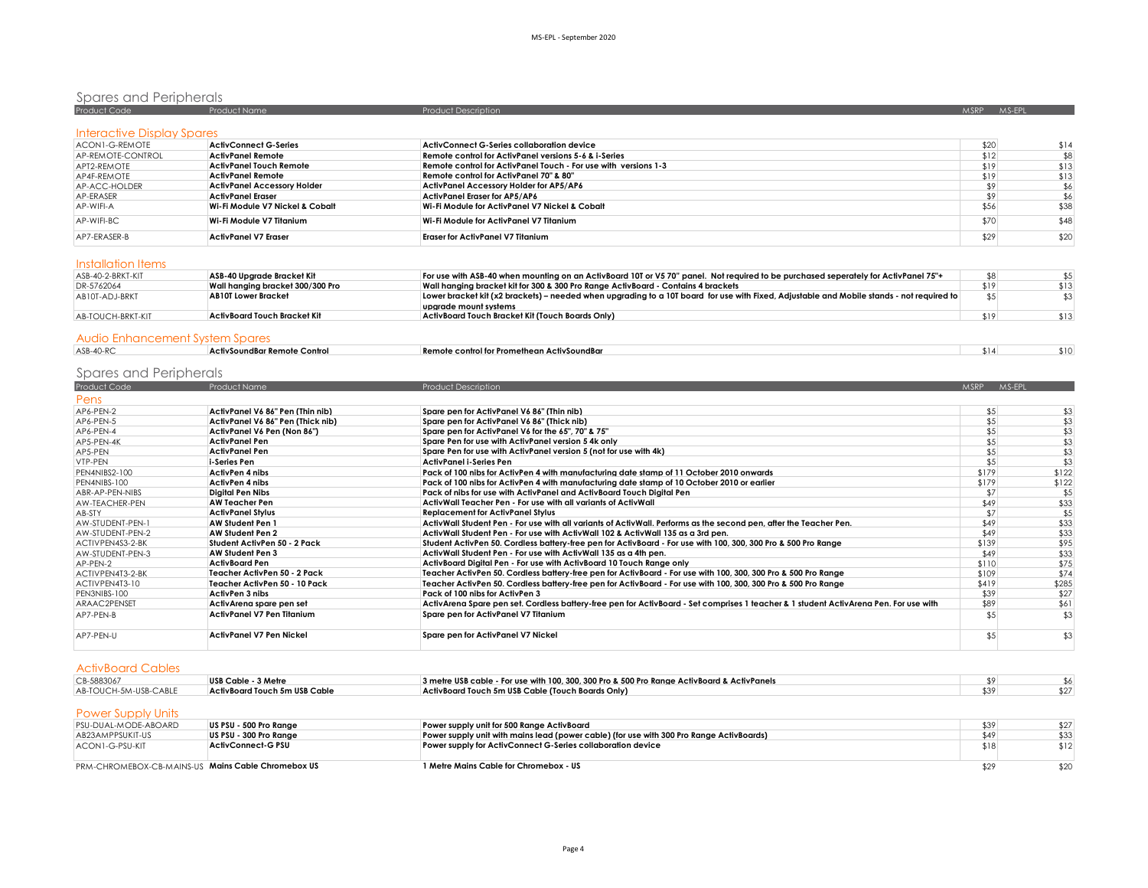| Spares and Peripherals     |                                    |                                                                 |             |        |  |  |
|----------------------------|------------------------------------|-----------------------------------------------------------------|-------------|--------|--|--|
| Product Code               | Product Name                       | <b>Product Description</b>                                      | <b>MSRP</b> | MS-EPL |  |  |
| Interactive Display Spares |                                    |                                                                 |             |        |  |  |
| ACON1-G-REMOTE             | <b>ActivConnect G-Series</b>       | ActivConnect G-Series collaboration device                      | \$20        | \$14   |  |  |
| AP-REMOTE-CONTROL          | <b>ActivPanel Remote</b>           | Remote control for ActivPanel versions 5-6 & i-Series           | \$12        | \$8    |  |  |
| APT2-REMOTE                | <b>ActivPanel Touch Remote</b>     | Remote control for ActivPanel Touch - For use with versions 1-3 | \$19        | \$13   |  |  |
| AP4F-REMOTE                | <b>ActivPanel Remote</b>           | Remote control for ActivPanel 70" & 80"                         | \$19        | \$13   |  |  |
| AP-ACC-HOLDER              | <b>ActivPanel Accessory Holder</b> | ActivPanel Accessory Holder for AP5/AP6                         | \$9         | \$6    |  |  |
| AP-FRASFR                  | <b>ActivPanel Eraser</b>           | ActivPanel Eraser for AP5/AP6                                   | \$9         | \$6    |  |  |
| AP-WIFI-A                  | Wi-Fi Module V7 Nickel & Cobalt    | Wi-Fi Module for ActivPanel V7 Nickel & Cobalt                  | \$56        | \$38   |  |  |
| AP-WIFI-BC                 | Wi-Fi Module V7 Titanium           | Wi-Fi Module for ActivPanel V7 Titanium                         | \$70        | \$48   |  |  |
| AP7-FRASFR-B               | <b>ActivPanel V7 Eraser</b>        | <b>Eraser for ActivPanel V7 Titanium</b>                        | \$29        | \$20   |  |  |

#### Installation Items

| ASB-40-2-BRKT-KIT | ASB-40 Uparade Bracket Kit       | For use with ASB-40 when mounting on an ActivBoard 10T or V5 70" panel. Not reautred to be purchased seperately for ActivPanel 75"+       |      |      |
|-------------------|----------------------------------|-------------------------------------------------------------------------------------------------------------------------------------------|------|------|
| DR-5762064        | Wall hanging bracket 300/300 Pro | Wall hanaina bracket kit for 300 & 300 Pro Range ActivBoard - Contains 4 brackets                                                         | \$19 | \$13 |
| AB10T-ADJ-BRKT    | <b>AB10T Lower Bracket</b>       | Lower bracket kit (x2 brackets) – needed when upgrading to a 10T board for use with Fixed, Adjustable and Mobile stands - not required to |      |      |
|                   |                                  | uparade mount systems                                                                                                                     |      |      |
| AB-TOUCH-BRKT-KIT | ActivBoard Touch Bracket Kit     | ActivBoard Touch Bracket Kit (Touch Boards Only)                                                                                          | \$19 | \$13 |
|                   |                                  |                                                                                                                                           |      |      |

#### Audio Enhancement System Spares

| ASB-40-RC |  | ActivSoundBar Remote Control | Remote control for Promethean ActivSoundBar |  | $\sim$ 1 | \$10 |
|-----------|--|------------------------------|---------------------------------------------|--|----------|------|
|           |  |                              |                                             |  |          |      |
|           |  |                              |                                             |  |          |      |

# **Spares and Peripherals**

| <b>Product Code</b> | Product Name                      | <b>Product Description</b>                                                                                                            | <b>MSRP</b><br>MS-EPL |       |
|---------------------|-----------------------------------|---------------------------------------------------------------------------------------------------------------------------------------|-----------------------|-------|
| Pens                |                                   |                                                                                                                                       |                       |       |
| AP6-PEN-2           | ActivPanel V6 86" Pen (Thin nib)  | Spare pen for ActivPanel V6 86" (Thin nib)                                                                                            | \$5                   | \$3   |
| AP6-PEN-5           | ActivPanel V6 86" Pen (Thick nib) | Spare pen for ActivPanel V6 86" (Thick nib)                                                                                           | \$5                   | \$3   |
| AP6-PEN-4           | ActivPanel V6 Pen (Non 86")       | Spare pen for ActivPanel V6 for the 65", 70" & 75"                                                                                    | \$5                   | \$3   |
| AP5-PEN-4K          | <b>ActivPanel Pen</b>             | Spare Pen for use with ActivPanel version 5 4k only                                                                                   | \$5                   | \$3   |
| AP5-PEN             | ActivPanel Pen                    | Spare Pen for use with ActivPanel version 5 (not for use with 4k)                                                                     | \$5                   | \$3   |
| VTP-PEN             | i-Series Pen                      | <b>ActivPanel i-Series Pen</b>                                                                                                        | \$5                   | \$3   |
| PEN4NIBS2-100       | ActivPen 4 nibs                   | Pack of 100 nibs for ActivPen 4 with manufacturing date stamp of 11 October 2010 onwards                                              | \$179                 | \$122 |
| PEN4NIBS-100        | ActivPen 4 nibs                   | Pack of 100 nibs for ActivPen 4 with manufacturing date stamp of 10 October 2010 or earlier                                           | \$179                 | \$122 |
| ABR-AP-PEN-NIBS     | Diaital Pen Nibs                  | Pack of nibs for use with ActivPanel and ActivBoard Touch Diaital Pen                                                                 | \$7                   | \$5   |
| AW-TEACHER-PEN      | <b>AW Teacher Pen</b>             | ActivWall Teacher Pen - For use with all variants of ActivWall                                                                        | \$49                  | \$33  |
| AB-STY              | <b>ActivPanel Stylus</b>          | <b>Replacement for ActivPanel Stylus</b>                                                                                              | \$7                   | \$5   |
| AW-STUDENT-PEN-1    | <b>AW Student Pen 1</b>           | ActivWall Student Pen - For use with all variants of ActivWall. Performs as the second pen, after the Teacher Pen.                    | \$49                  | \$33  |
| AW-STUDENT-PEN-2    | <b>AW Student Pen 2</b>           | ActivWall Student Pen - For use with ActivWall 102 & ActivWall 135 as a 3rd pen.                                                      | \$49                  | \$33  |
| ACTIVPEN4S3-2-BK    | Student ActivPen 50 - 2 Pack      | Student ActivPen 50. Cordless battery-free pen for ActivBoard - For use with 100, 300, 300 Pro & 500 Pro Range                        | \$139                 | \$95  |
| AW-STUDENT-PEN-3    | AW Student Pen 3                  | ActivWall Student Pen - For use with ActivWall 135 as a 4th pen.                                                                      | \$49                  | \$33  |
| AP-PEN-2            | <b>ActivBoard Pen</b>             | ActivBoard Diaital Pen - For use with ActivBoard 10 Touch Range only                                                                  | \$110                 | \$75  |
| ACTIVPEN4T3-2-BK    | Teacher ActivPen 50 - 2 Pack      | Teacher ActivPen 50. Cordless battery-free pen for ActivBoard - For use with 100, 300, 300 Pro & 500 Pro Range                        | \$109                 | \$74  |
| ACTIVPEN4T3-10      | Teacher ActivPen 50 - 10 Pack     | Teacher ActivPen 50. Cordless battery-free pen for ActivBoard - For use with 100, 300, 300 Pro & 500 Pro Range                        | \$419                 | \$285 |
| PEN3NIBS-100        | ActivPen 3 nibs                   | Pack of 100 nibs for ActivPen 3                                                                                                       | \$39                  | \$27  |
| ARAAC2PENSET        | ActivArena spare pen set          | ActivArena Spare pen set. Cordless battery-free pen for ActivBoard - Set comprises 1 teacher & 1 student ActivArena Pen. For use with | \$89                  | \$61  |
| AP7-PEN-B           | ActivPanel V7 Pen Titanium        | Spare pen for ActivPanel V7 Titanium                                                                                                  | \$5                   | \$3   |
| AP7-PEN-U           | <b>ActivPanel V7 Pen Nickel</b>   | Spare pen for ActivPanel V7 Nickel                                                                                                    | \$5                   | \$3   |

| <b>ActivBoard Cables</b>                           |                               |                                                                                             |      |      |
|----------------------------------------------------|-------------------------------|---------------------------------------------------------------------------------------------|------|------|
| CB-5883067                                         | USB Cable - 3 Metre           | 3 metre USB cable - For use with 100, 300, 300 Pro & 500 Pro Range ActivBoard & ActivPanels | \$9  |      |
| AB-TOUCH-5M-USB-CABLE                              | ActivBoard Touch 5m USB Cable | ActivBoard Touch 5m USB Cable (Touch Boards Only)                                           | \$39 | \$27 |
| <b>Power Supply Units</b>                          |                               |                                                                                             |      |      |
| PSU-DUAL-MODE-ABOARD                               | US PSU - 500 Pro Range        | Power supply unit for 500 Range ActivBoard                                                  |      | \$27 |
|                                                    |                               |                                                                                             | \$39 |      |
| AB23AMPPSUKIT-US                                   | US PSU - 300 Pro Range        | Power supply unit with mains lead (power cable) (for use with 300 Pro Range ActivBoards)    | \$49 | \$33 |
| ACON1-G-PSU-KIT                                    | ActivConnect-G PSU            | Power supply for ActivConnect G-Series collaboration device                                 | \$18 | \$12 |
| PRM-CHROMEBOX-CB-MAINS-US Mains Cable Chromebox US |                               | 1 Metre Mains Cable for Chromebox - US                                                      | \$29 | \$20 |